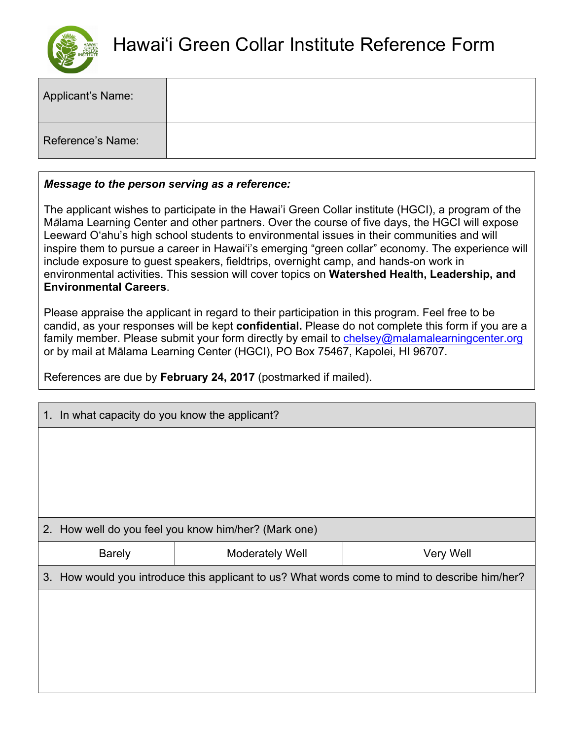

| Applicant's Name: |  |
|-------------------|--|
| Reference's Name: |  |

## *Message to the person serving as a reference:*

The applicant wishes to participate in the Hawai'i Green Collar institute (HGCI), a program of the M*ā*lama Learning Center and other partners. Over the course of five days, the HGCI will expose Leeward O'ahu's high school students to environmental issues in their communities and will inspire them to pursue a career in Hawai'i's emerging "green collar" economy. The experience will include exposure to guest speakers, fieldtrips, overnight camp, and hands-on work in environmental activities. This session will cover topics on **Watershed Health, Leadership, and Environmental Careers**.

Please appraise the applicant in regard to their participation in this program. Feel free to be candid, as your responses will be kept **confidential.** Please do not complete this form if you are a family member. Please submit your form directly by email to chelsey@malamalearningcenter.org or by mail at Mālama Learning Center (HGCI), PO Box 75467, Kapolei, HI 96707.

References are due by **February 24, 2017** (postmarked if mailed).

| 1. In what capacity do you know the applicant?                                                |                        |           |  |  |
|-----------------------------------------------------------------------------------------------|------------------------|-----------|--|--|
|                                                                                               |                        |           |  |  |
|                                                                                               |                        |           |  |  |
|                                                                                               |                        |           |  |  |
|                                                                                               |                        |           |  |  |
| 2. How well do you feel you know him/her? (Mark one)                                          |                        |           |  |  |
| <b>Barely</b>                                                                                 | <b>Moderately Well</b> | Very Well |  |  |
| 3. How would you introduce this applicant to us? What words come to mind to describe him/her? |                        |           |  |  |
|                                                                                               |                        |           |  |  |
|                                                                                               |                        |           |  |  |
|                                                                                               |                        |           |  |  |
|                                                                                               |                        |           |  |  |
|                                                                                               |                        |           |  |  |